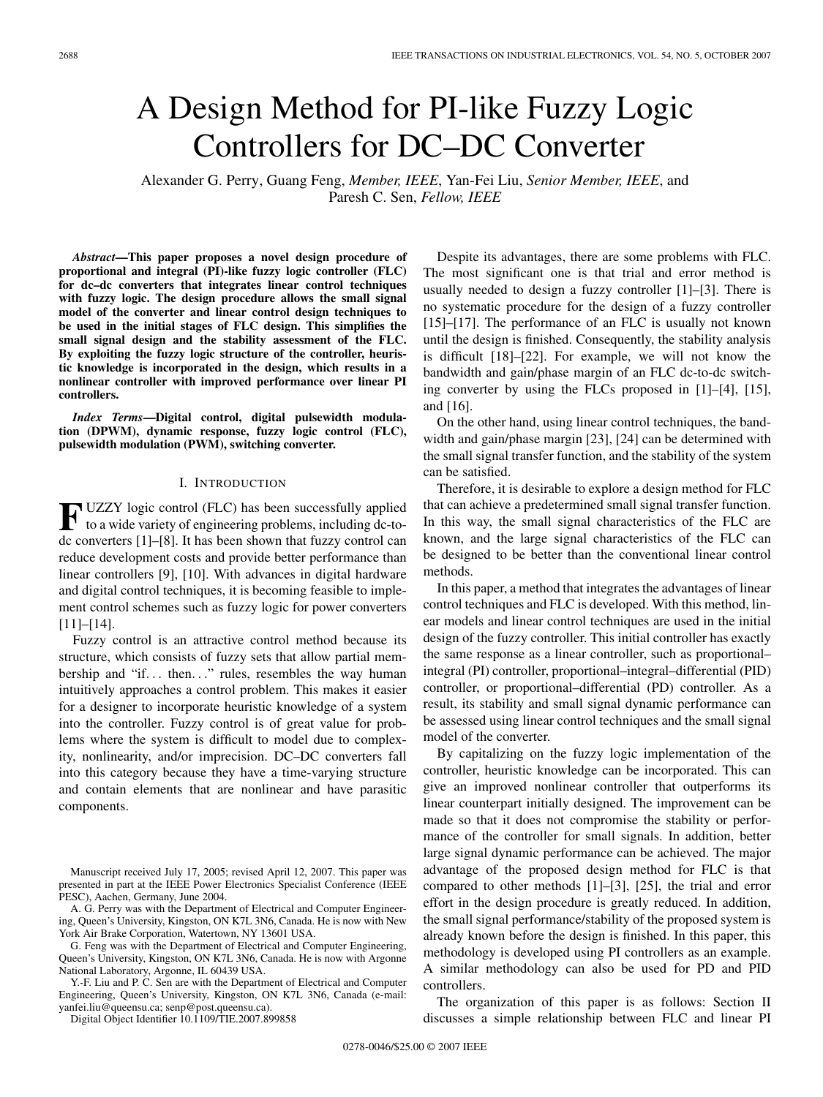# A Design Method for PI-like Fuzzy Logic Controllers for DC–DC Converter

Alexander G. Perry, Guang Feng, *Member, IEEE*, Yan-Fei Liu, *Senior Member, IEEE*, and Paresh C. Sen, *Fellow, IEEE*

*Abstract***—This paper proposes a novel design procedure of proportional and integral (PI)-like fuzzy logic controller (FLC) for dc–dc converters that integrates linear control techniques with fuzzy logic. The design procedure allows the small signal model of the converter and linear control design techniques to be used in the initial stages of FLC design. This simplifies the small signal design and the stability assessment of the FLC. By exploiting the fuzzy logic structure of the controller, heuristic knowledge is incorporated in the design, which results in a nonlinear controller with improved performance over linear PI controllers.**

*Index Terms***—Digital control, digital pulsewidth modulation (DPWM), dynamic response, fuzzy logic control (FLC), pulsewidth modulation (PWM), switching converter.**

### I. INTRODUCTION

**F** UZZY logic control (FLC) has been successfully applied<br>to a wide variety of engineering problems, including dc-todc converters [1]–[8]. It has been shown that fuzzy control can reduce development costs and provide better performance than linear controllers [9], [10]. With advances in digital hardware and digital control techniques, it is becoming feasible to implement control schemes such as fuzzy logic for power converters  $[11]$ – $[14]$ .

Fuzzy control is an attractive control method because its structure, which consists of fuzzy sets that allow partial membership and "if... then..." rules, resembles the way human intuitively approaches a control problem. This makes it easier for a designer to incorporate heuristic knowledge of a system into the controller. Fuzzy control is of great value for problems where the system is difficult to model due to complexity, nonlinearity, and/or imprecision. DC–DC converters fall into this category because they have a time-varying structure and contain elements that are nonlinear and have parasitic components.

A. G. Perry was with the Department of Electrical and Computer Engineering, Queen's University, Kingston, ON K7L 3N6, Canada. He is now with New York Air Brake Corporation, Watertown, NY 13601 USA.

G. Feng was with the Department of Electrical and Computer Engineering, Queen's University, Kingston, ON K7L 3N6, Canada. He is now with Argonne National Laboratory, Argonne, IL 60439 USA.

Y.-F. Liu and P. C. Sen are with the Department of Electrical and Computer Engineering, Queen's University, Kingston, ON K7L 3N6, Canada (e-mail: yanfei.liu@queensu.ca; senp@post.queensu.ca).

Digital Object Identifier 10.1109/TIE.2007.899858

Despite its advantages, there are some problems with FLC. The most significant one is that trial and error method is usually needed to design a fuzzy controller [1]–[3]. There is no systematic procedure for the design of a fuzzy controller [15]–[17]. The performance of an FLC is usually not known until the design is finished. Consequently, the stability analysis is difficult [18]–[22]. For example, we will not know the bandwidth and gain/phase margin of an FLC dc-to-dc switching converter by using the FLCs proposed in [1]–[4], [15], and [16].

On the other hand, using linear control techniques, the bandwidth and gain/phase margin [23], [24] can be determined with the small signal transfer function, and the stability of the system can be satisfied.

Therefore, it is desirable to explore a design method for FLC that can achieve a predetermined small signal transfer function. In this way, the small signal characteristics of the FLC are known, and the large signal characteristics of the FLC can be designed to be better than the conventional linear control methods.

In this paper, a method that integrates the advantages of linear control techniques and FLC is developed. With this method, linear models and linear control techniques are used in the initial design of the fuzzy controller. This initial controller has exactly the same response as a linear controller, such as proportional– integral (PI) controller, proportional–integral–differential (PID) controller, or proportional–differential (PD) controller. As a result, its stability and small signal dynamic performance can be assessed using linear control techniques and the small signal model of the converter.

By capitalizing on the fuzzy logic implementation of the controller, heuristic knowledge can be incorporated. This can give an improved nonlinear controller that outperforms its linear counterpart initially designed. The improvement can be made so that it does not compromise the stability or performance of the controller for small signals. In addition, better large signal dynamic performance can be achieved. The major advantage of the proposed design method for FLC is that compared to other methods [1]–[3], [25], the trial and error effort in the design procedure is greatly reduced. In addition, the small signal performance/stability of the proposed system is already known before the design is finished. In this paper, this methodology is developed using PI controllers as an example. A similar methodology can also be used for PD and PID controllers.

The organization of this paper is as follows: Section II discusses a simple relationship between FLC and linear PI

Manuscript received July 17, 2005; revised April 12, 2007. This paper was presented in part at the IEEE Power Electronics Specialist Conference (IEEE PESC), Aachen, Germany, June 2004.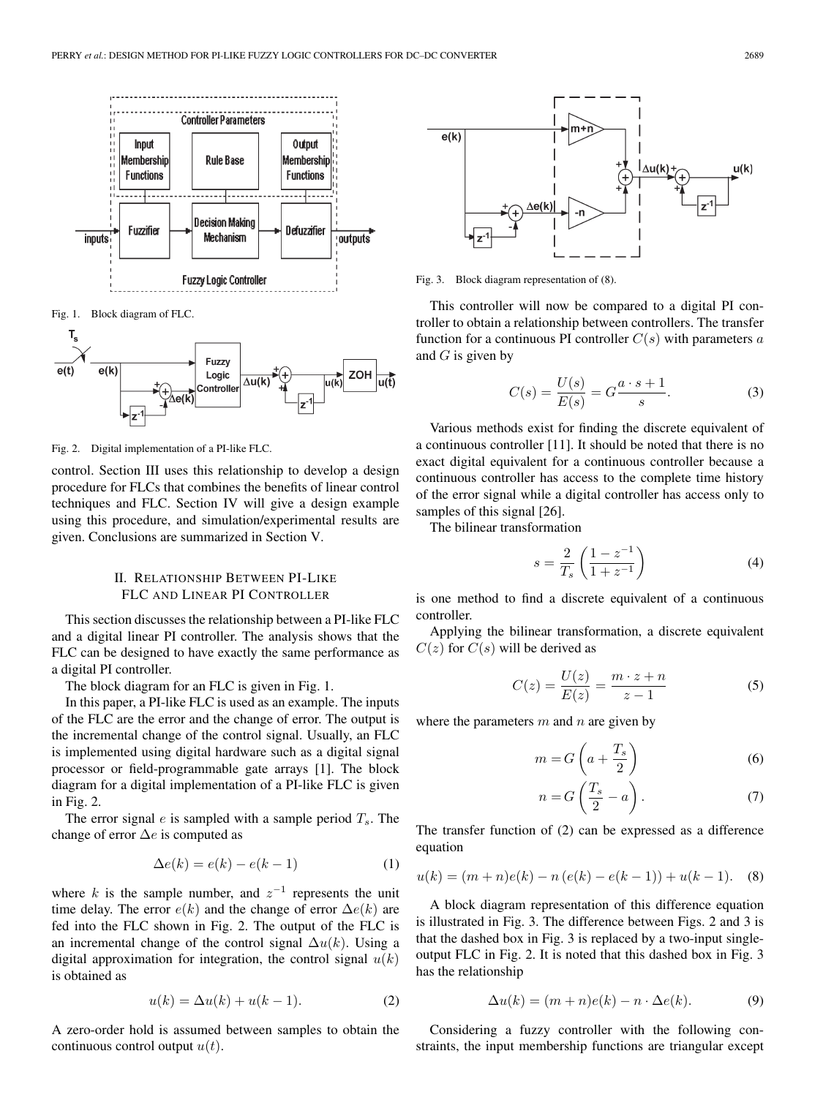

Fig. 1. Block diagram of FLC.



Fig. 2. Digital implementation of a PI-like FLC.

control. Section III uses this relationship to develop a design procedure for FLCs that combines the benefits of linear control techniques and FLC. Section IV will give a design example using this procedure, and simulation/experimental results are given. Conclusions are summarized in Section V.

## II. RELATIONSHIP BETWEEN PI-LIKE FLC AND LINEAR PI CONTROLLER

This section discusses the relationship between a PI-like FLC and a digital linear PI controller. The analysis shows that the FLC can be designed to have exactly the same performance as a digital PI controller.

The block diagram for an FLC is given in Fig. 1.

In this paper, a PI-like FLC is used as an example. The inputs of the FLC are the error and the change of error. The output is the incremental change of the control signal. Usually, an FLC is implemented using digital hardware such as a digital signal processor or field-programmable gate arrays [1]. The block diagram for a digital implementation of a PI-like FLC is given in Fig. 2.

The error signal e is sampled with a sample period  $T_s$ . The change of error  $\Delta e$  is computed as

$$
\Delta e(k) = e(k) - e(k-1) \tag{1}
$$

where k is the sample number, and  $z^{-1}$  represents the unit time delay. The error  $e(k)$  and the change of error  $\Delta e(k)$  are fed into the FLC shown in Fig. 2. The output of the FLC is an incremental change of the control signal  $\Delta u(k)$ . Using a digital approximation for integration, the control signal  $u(k)$ is obtained as

$$
u(k) = \Delta u(k) + u(k-1). \tag{2}
$$

A zero-order hold is assumed between samples to obtain the continuous control output  $u(t)$ .



Fig. 3. Block diagram representation of (8).

This controller will now be compared to a digital PI controller to obtain a relationship between controllers. The transfer function for a continuous PI controller  $C(s)$  with parameters a and  $G$  is given by

$$
C(s) = \frac{U(s)}{E(s)} = G \frac{a \cdot s + 1}{s}.
$$
 (3)

Various methods exist for finding the discrete equivalent of a continuous controller [11]. It should be noted that there is no exact digital equivalent for a continuous controller because a continuous controller has access to the complete time history of the error signal while a digital controller has access only to samples of this signal [26].

The bilinear transformation

$$
s = \frac{2}{T_s} \left( \frac{1 - z^{-1}}{1 + z^{-1}} \right)
$$
 (4)

is one method to find a discrete equivalent of a continuous controller.

Applying the bilinear transformation, a discrete equivalent  $C(z)$  for  $C(s)$  will be derived as

$$
C(z) = \frac{U(z)}{E(z)} = \frac{m \cdot z + n}{z - 1}
$$
 (5)

where the parameters  $m$  and  $n$  are given by

$$
m = G\left(a + \frac{T_s}{2}\right) \tag{6}
$$

$$
n = G\left(\frac{T_s}{2} - a\right). \tag{7}
$$

The transfer function of (2) can be expressed as a difference equation

$$
u(k) = (m+n)e(k) - n(e(k) - e(k-1)) + u(k-1). \quad (8)
$$

A block diagram representation of this difference equation is illustrated in Fig. 3. The difference between Figs. 2 and 3 is that the dashed box in Fig. 3 is replaced by a two-input singleoutput FLC in Fig. 2. It is noted that this dashed box in Fig. 3 has the relationship

$$
\Delta u(k) = (m+n)e(k) - n \cdot \Delta e(k). \tag{9}
$$

Considering a fuzzy controller with the following constraints, the input membership functions are triangular except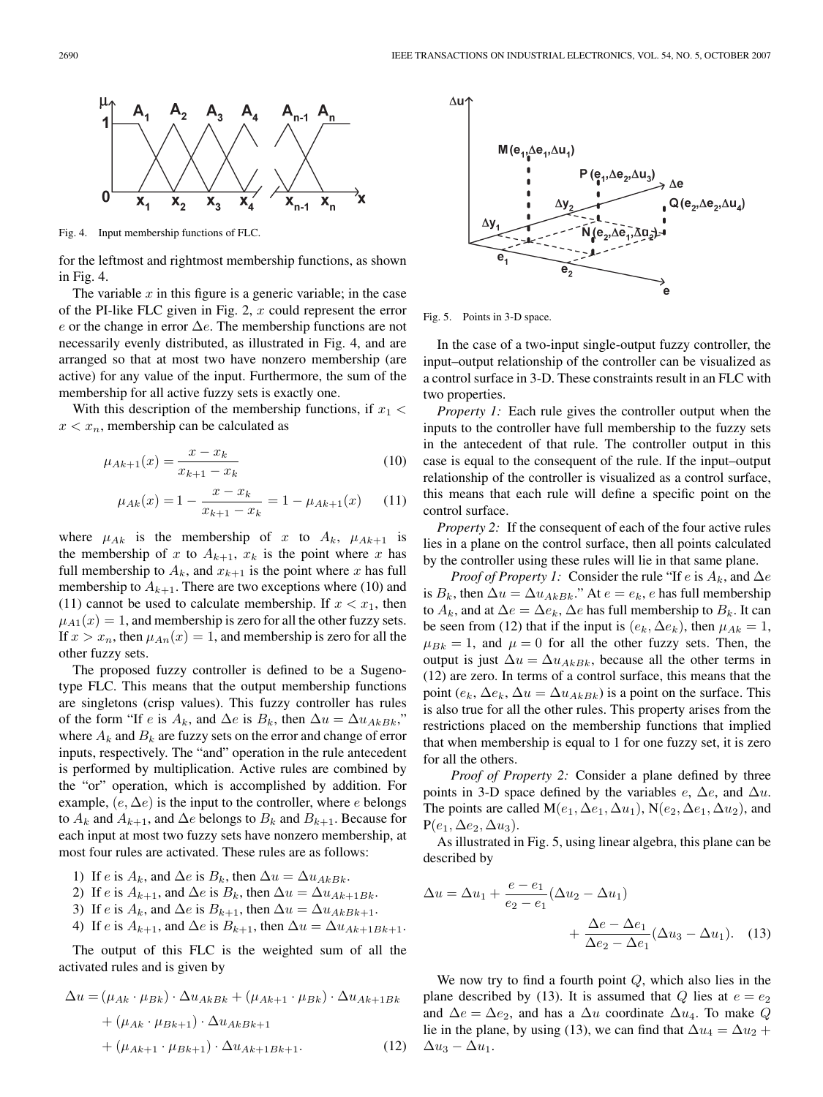

Fig. 4. Input membership functions of FLC.

for the leftmost and rightmost membership functions, as shown in Fig. 4.

The variable  $x$  in this figure is a generic variable; in the case of the PI-like FLC given in Fig. 2,  $x$  could represent the error e or the change in error  $\Delta e$ . The membership functions are not necessarily evenly distributed, as illustrated in Fig. 4, and are arranged so that at most two have nonzero membership (are active) for any value of the input. Furthermore, the sum of the membership for all active fuzzy sets is exactly one.

With this description of the membership functions, if  $x_1$  <  $x < x_n$ , membership can be calculated as

$$
\mu_{Ak+1}(x) = \frac{x - x_k}{x_{k+1} - x_k} \tag{10}
$$

$$
\mu_{Ak}(x) = 1 - \frac{x - x_k}{x_{k+1} - x_k} = 1 - \mu_{Ak+1}(x) \tag{11}
$$

where  $\mu_{Ak}$  is the membership of x to  $A_k$ ,  $\mu_{Ak+1}$  is the membership of x to  $A_{k+1}$ ,  $x_k$  is the point where x has full membership to  $A_k$ , and  $x_{k+1}$  is the point where x has full membership to  $A_{k+1}$ . There are two exceptions where (10) and (11) cannot be used to calculate membership. If  $x < x_1$ , then  $\mu_{A1}(x)=1$ , and membership is zero for all the other fuzzy sets. If  $x > x_n$ , then  $\mu_{An}(x) = 1$ , and membership is zero for all the other fuzzy sets.

The proposed fuzzy controller is defined to be a Sugenotype FLC. This means that the output membership functions are singletons (crisp values). This fuzzy controller has rules of the form "If e is  $A_k$ , and  $\Delta e$  is  $B_k$ , then  $\Delta u = \Delta u_{AkBk}$ ," where  $A_k$  and  $B_k$  are fuzzy sets on the error and change of error inputs, respectively. The "and" operation in the rule antecedent is performed by multiplication. Active rules are combined by the "or" operation, which is accomplished by addition. For example,  $(e, \Delta e)$  is the input to the controller, where e belongs to  $A_k$  and  $A_{k+1}$ , and  $\Delta e$  belongs to  $B_k$  and  $B_{k+1}$ . Because for each input at most two fuzzy sets have nonzero membership, at most four rules are activated. These rules are as follows:

- 1) If e is  $A_k$ , and  $\Delta e$  is  $B_k$ , then  $\Delta u = \Delta u_{AkBk}$ .
- 2) If e is  $A_{k+1}$ , and  $\Delta e$  is  $B_k$ , then  $\Delta u = \Delta u_{Ak+1Bk}$ .
- 3) If e is  $A_k$ , and  $\Delta e$  is  $B_{k+1}$ , then  $\Delta u = \Delta u_{AkBk+1}$ .
- 4) If e is  $A_{k+1}$ , and  $\Delta e$  is  $B_{k+1}$ , then  $\Delta u = \Delta u_{Ak+1Bk+1}$ .

The output of this FLC is the weighted sum of all the activated rules and is given by

$$
\Delta u = (\mu_{Ak} \cdot \mu_{Bk}) \cdot \Delta u_{AkBk} + (\mu_{Ak+1} \cdot \mu_{Bk}) \cdot \Delta u_{Ak+1Bk}
$$

$$
+ (\mu_{Ak} \cdot \mu_{Bk+1}) \cdot \Delta u_{AkBk+1}
$$

$$
+ (\mu_{Ak+1} \cdot \mu_{Bk+1}) \cdot \Delta u_{Ak+1Bk+1}.
$$
(12)



Fig. 5. Points in 3-D space.

In the case of a two-input single-output fuzzy controller, the input–output relationship of the controller can be visualized as a control surface in 3-D. These constraints result in an FLC with two properties.

*Property 1:* Each rule gives the controller output when the inputs to the controller have full membership to the fuzzy sets in the antecedent of that rule. The controller output in this case is equal to the consequent of the rule. If the input–output relationship of the controller is visualized as a control surface, this means that each rule will define a specific point on the control surface.

*Property 2:* If the consequent of each of the four active rules lies in a plane on the control surface, then all points calculated by the controller using these rules will lie in that same plane.

*Proof of Property 1:* Consider the rule "If  $e$  is  $A_k$ , and  $\Delta e$ is  $B_k$ , then  $\Delta u = \Delta u_{AkBk}$ ." At  $e = e_k$ , e has full membership to  $A_k$ , and at  $\Delta e = \Delta e_k$ ,  $\Delta e$  has full membership to  $B_k$ . It can be seen from (12) that if the input is  $(e_k, \Delta e_k)$ , then  $\mu_{Ak} = 1$ ,  $\mu_{Bk} = 1$ , and  $\mu = 0$  for all the other fuzzy sets. Then, the output is just  $\Delta u = \Delta u_{AkBk}$ , because all the other terms in (12) are zero. In terms of a control surface, this means that the point ( $e_k$ ,  $\Delta e_k$ ,  $\Delta u = \Delta u_{AkBk}$ ) is a point on the surface. This is also true for all the other rules. This property arises from the restrictions placed on the membership functions that implied that when membership is equal to 1 for one fuzzy set, it is zero for all the others.

*Proof of Property 2:* Consider a plane defined by three points in 3-D space defined by the variables e,  $\Delta e$ , and  $\Delta u$ . The points are called  $M(e_1, \Delta e_1, \Delta u_1)$ ,  $N(e_2, \Delta e_1, \Delta u_2)$ , and  $P(e_1, \Delta e_2, \Delta u_3)$ .

As illustrated in Fig. 5, using linear algebra, this plane can be described by

$$
\Delta u = \Delta u_1 + \frac{e - e_1}{e_2 - e_1} (\Delta u_2 - \Delta u_1)
$$

$$
+ \frac{\Delta e - \Delta e_1}{\Delta e_2 - \Delta e_1} (\Delta u_3 - \Delta u_1). \quad (13)
$$

We now try to find a fourth point  $Q$ , which also lies in the plane described by (13). It is assumed that Q lies at  $e = e_2$ and  $\Delta e = \Delta e_2$ , and has a  $\Delta u$  coordinate  $\Delta u_4$ . To make Q lie in the plane, by using (13), we can find that  $\Delta u_4 = \Delta u_2 + \Delta u_4$  $\Delta u_3 - \Delta u_1$ .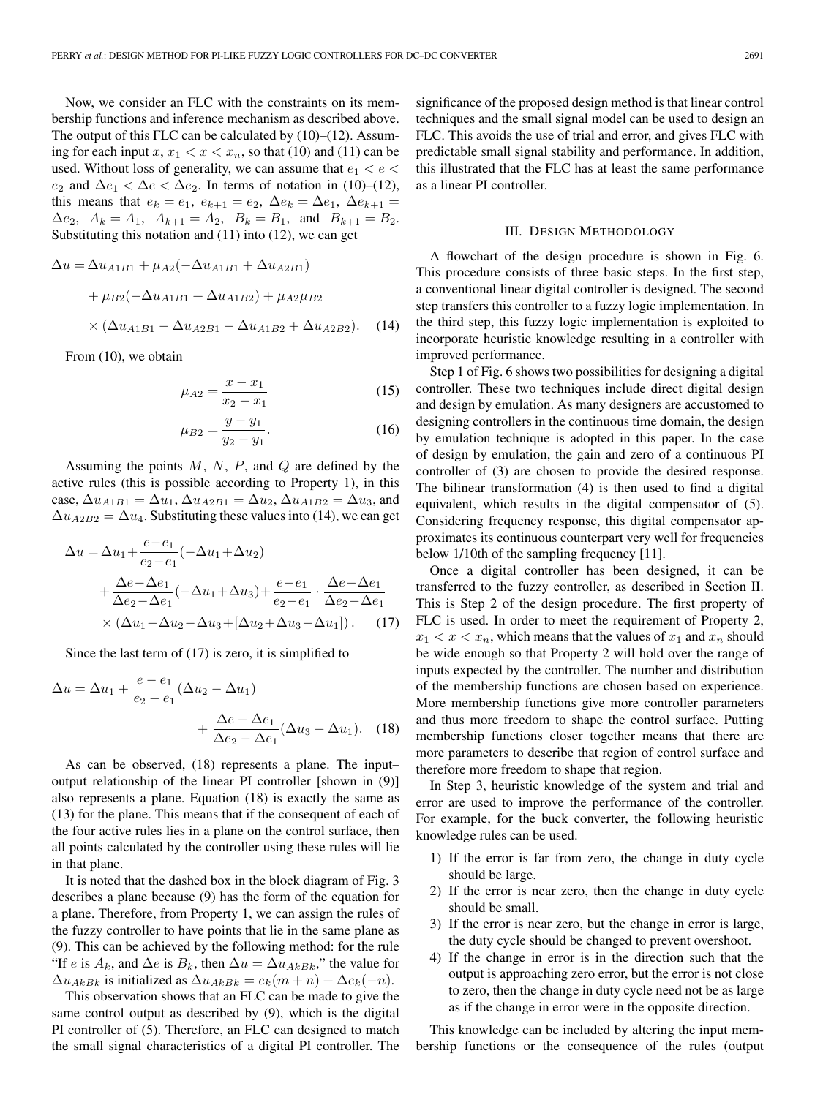Now, we consider an FLC with the constraints on its membership functions and inference mechanism as described above. The output of this FLC can be calculated by (10)–(12). Assuming for each input  $x, x_1 < x < x_n$ , so that (10) and (11) can be used. Without loss of generality, we can assume that  $e_1 < e <$ e<sub>2</sub> and  $\Delta e_1 < \Delta e < \Delta e_2$ . In terms of notation in (10)–(12), this means that  $e_k = e_1, e_{k+1} = e_2, \Delta e_k = \Delta e_1, \Delta e_{k+1} =$  $\Delta e_2$ ,  $A_k = A_1$ ,  $A_{k+1} = A_2$ ,  $B_k = B_1$ , and  $B_{k+1} = B_2$ . Substituting this notation and (11) into (12), we can get

$$
\Delta u = \Delta u_{A1B1} + \mu_{A2}(-\Delta u_{A1B1} + \Delta u_{A2B1})
$$
  
+  $\mu_{B2}(-\Delta u_{A1B1} + \Delta u_{A1B2}) + \mu_{A2}\mu_{B2}$   
 $\times (\Delta u_{A1B1} - \Delta u_{A2B1} - \Delta u_{A1B2} + \Delta u_{A2B2}).$  (14)

From (10), we obtain

$$
\mu_{A2} = \frac{x - x_1}{x_2 - x_1} \tag{15}
$$

$$
\mu_{B2} = \frac{y - y_1}{y_2 - y_1}.\tag{16}
$$

Assuming the points  $M$ ,  $N$ ,  $P$ , and  $Q$  are defined by the active rules (this is possible according to Property 1), in this case,  $\Delta u_{A1B1} = \Delta u_1$ ,  $\Delta u_{A2B1} = \Delta u_2$ ,  $\Delta u_{A1B2} = \Delta u_3$ , and  $\Delta u_{A2B2} = \Delta u_4$ . Substituting these values into (14), we can get

$$
\Delta u = \Delta u_1 + \frac{e - e_1}{e_2 - e_1} (-\Delta u_1 + \Delta u_2)
$$
  
+ 
$$
\frac{\Delta e - \Delta e_1}{\Delta e_2 - \Delta e_1} (-\Delta u_1 + \Delta u_3) + \frac{e - e_1}{e_2 - e_1} \cdot \frac{\Delta e - \Delta e_1}{\Delta e_2 - \Delta e_1}
$$
  
× 
$$
(\Delta u_1 - \Delta u_2 - \Delta u_3 + [\Delta u_2 + \Delta u_3 - \Delta u_1]).
$$
 (17)

Since the last term of (17) is zero, it is simplified to

$$
\Delta u = \Delta u_1 + \frac{e - e_1}{e_2 - e_1} (\Delta u_2 - \Delta u_1)
$$

$$
+ \frac{\Delta e - \Delta e_1}{\Delta e_2 - \Delta e_1} (\Delta u_3 - \Delta u_1). \quad (18)
$$

As can be observed, (18) represents a plane. The input– output relationship of the linear PI controller [shown in (9)] also represents a plane. Equation (18) is exactly the same as (13) for the plane. This means that if the consequent of each of the four active rules lies in a plane on the control surface, then all points calculated by the controller using these rules will lie in that plane.

It is noted that the dashed box in the block diagram of Fig. 3 describes a plane because (9) has the form of the equation for a plane. Therefore, from Property 1, we can assign the rules of the fuzzy controller to have points that lie in the same plane as (9). This can be achieved by the following method: for the rule "If e is  $A_k$ , and  $\Delta e$  is  $B_k$ , then  $\Delta u = \Delta u_{AkBk}$ ," the value for  $\Delta u_{AkBk}$  is initialized as  $\Delta u_{AkBk} = e_k(m+n) + \Delta e_k(-n)$ .

This observation shows that an FLC can be made to give the same control output as described by (9), which is the digital PI controller of (5). Therefore, an FLC can designed to match the small signal characteristics of a digital PI controller. The significance of the proposed design method is that linear control techniques and the small signal model can be used to design an FLC. This avoids the use of trial and error, and gives FLC with predictable small signal stability and performance. In addition, this illustrated that the FLC has at least the same performance as a linear PI controller.

#### III. DESIGN METHODOLOGY

A flowchart of the design procedure is shown in Fig. 6. This procedure consists of three basic steps. In the first step, a conventional linear digital controller is designed. The second step transfers this controller to a fuzzy logic implementation. In the third step, this fuzzy logic implementation is exploited to incorporate heuristic knowledge resulting in a controller with improved performance.

Step 1 of Fig. 6 shows two possibilities for designing a digital controller. These two techniques include direct digital design and design by emulation. As many designers are accustomed to designing controllers in the continuous time domain, the design by emulation technique is adopted in this paper. In the case of design by emulation, the gain and zero of a continuous PI controller of (3) are chosen to provide the desired response. The bilinear transformation (4) is then used to find a digital equivalent, which results in the digital compensator of (5). Considering frequency response, this digital compensator approximates its continuous counterpart very well for frequencies below 1/10th of the sampling frequency [11].

Once a digital controller has been designed, it can be transferred to the fuzzy controller, as described in Section II. This is Step 2 of the design procedure. The first property of FLC is used. In order to meet the requirement of Property 2,  $x_1 < x < x_n$ , which means that the values of  $x_1$  and  $x_n$  should be wide enough so that Property 2 will hold over the range of inputs expected by the controller. The number and distribution of the membership functions are chosen based on experience. More membership functions give more controller parameters and thus more freedom to shape the control surface. Putting membership functions closer together means that there are more parameters to describe that region of control surface and therefore more freedom to shape that region.

In Step 3, heuristic knowledge of the system and trial and error are used to improve the performance of the controller. For example, for the buck converter, the following heuristic knowledge rules can be used.

- 1) If the error is far from zero, the change in duty cycle should be large.
- 2) If the error is near zero, then the change in duty cycle should be small.
- 3) If the error is near zero, but the change in error is large, the duty cycle should be changed to prevent overshoot.
- 4) If the change in error is in the direction such that the output is approaching zero error, but the error is not close to zero, then the change in duty cycle need not be as large as if the change in error were in the opposite direction.

This knowledge can be included by altering the input membership functions or the consequence of the rules (output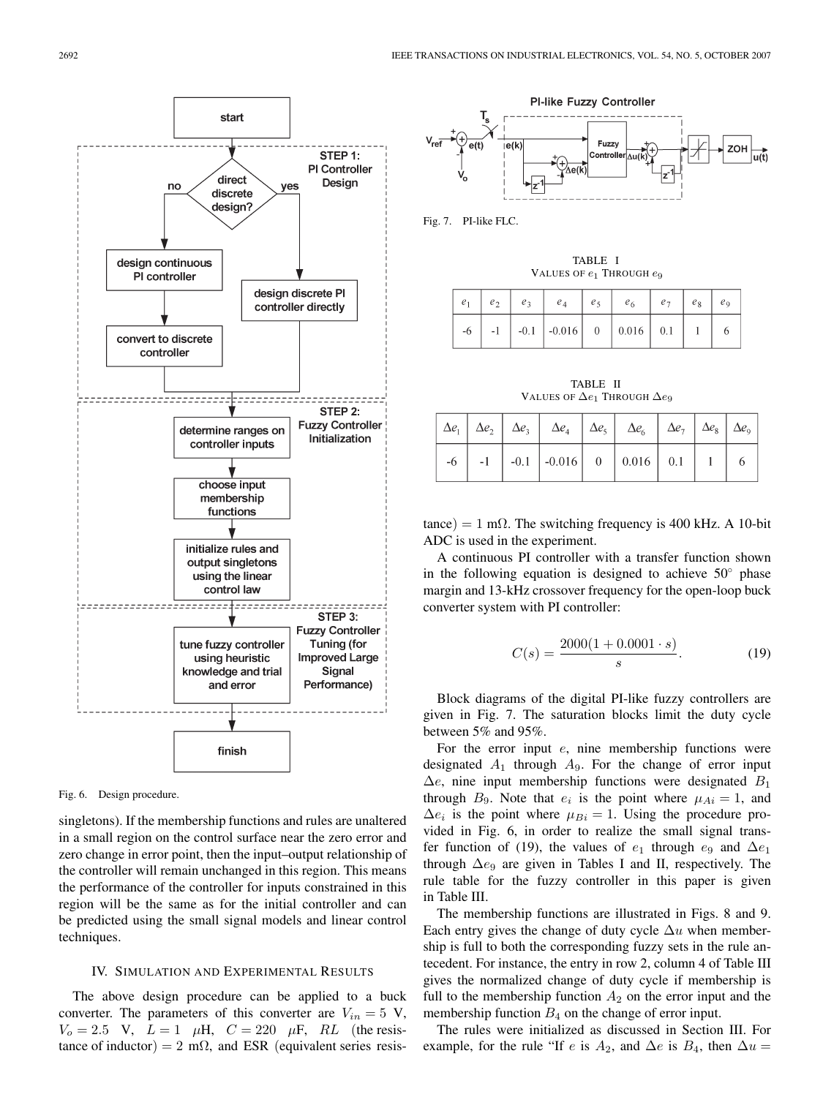

Fig. 6. Design procedure.

singletons). If the membership functions and rules are unaltered in a small region on the control surface near the zero error and zero change in error point, then the input–output relationship of the controller will remain unchanged in this region. This means the performance of the controller for inputs constrained in this region will be the same as for the initial controller and can be predicted using the small signal models and linear control techniques.

#### IV. SIMULATION AND EXPERIMENTAL RESULTS

The above design procedure can be applied to a buck converter. The parameters of this converter are  $V_{in} = 5$  V,  $V_o = 2.5$  V,  $L = 1$   $\mu$ H,  $C = 220$   $\mu$ F, RL (the resistance of inductor) = 2 m $\Omega$ , and ESR (equivalent series resis-



Fig. 7. PI-like FLC.

TABLE I VALUES OF  $e_1$  THROUGH  $e_9$ 

| e <sub>1</sub> |  |  | $e_5$ $e_6$                                                                | e <sub>7</sub> | $e_8$ |  |
|----------------|--|--|----------------------------------------------------------------------------|----------------|-------|--|
| $-6$           |  |  | $\vert$ -1 $\vert$ -0.1 $\vert$ -0.016 $\vert$ 0 $\vert$ 0.016 $\vert$ 0.1 |                |       |  |

TABLE II VALUES OF  $\Delta e_1$  THROUGH  $\Delta e_9$ 

|  | $\left[\begin{array}{c c c c} \Delta e_1 & \Delta e_2 & \Delta e_3 & \Delta e_4 & \Delta e_5 & \Delta e_6 & \Delta e_7 & \Delta e_8 & \Delta e_9 \end{array}\right]$ |  |  |  |
|--|----------------------------------------------------------------------------------------------------------------------------------------------------------------------|--|--|--|
|  | $-6$ -1 -0.1 -0.016 0 0.016 0.1 1 6                                                                                                                                  |  |  |  |

tance) = 1 m $\Omega$ . The switching frequency is 400 kHz. A 10-bit ADC is used in the experiment.

A continuous PI controller with a transfer function shown in the following equation is designed to achieve  $50°$  phase margin and 13-kHz crossover frequency for the open-loop buck converter system with PI controller:

$$
C(s) = \frac{2000(1 + 0.0001 \cdot s)}{s}.
$$
 (19)

Block diagrams of the digital PI-like fuzzy controllers are given in Fig. 7. The saturation blocks limit the duty cycle between 5% and 95%.

For the error input e, nine membership functions were designated  $A_1$  through  $A_9$ . For the change of error input  $\Delta e$ , nine input membership functions were designated  $B_1$ through  $B_9$ . Note that  $e_i$  is the point where  $\mu_{Ai} = 1$ , and  $\Delta e_i$  is the point where  $\mu_{Bi} = 1$ . Using the procedure provided in Fig. 6, in order to realize the small signal transfer function of (19), the values of  $e_1$  through  $e_9$  and  $\Delta e_1$ through  $\Delta e_9$  are given in Tables I and II, respectively. The rule table for the fuzzy controller in this paper is given in Table III.

The membership functions are illustrated in Figs. 8 and 9. Each entry gives the change of duty cycle  $\Delta u$  when membership is full to both the corresponding fuzzy sets in the rule antecedent. For instance, the entry in row 2, column 4 of Table III gives the normalized change of duty cycle if membership is full to the membership function  $A_2$  on the error input and the membership function  $B_4$  on the change of error input.

The rules were initialized as discussed in Section III. For example, for the rule "If e is  $A_2$ , and  $\Delta e$  is  $B_4$ , then  $\Delta u =$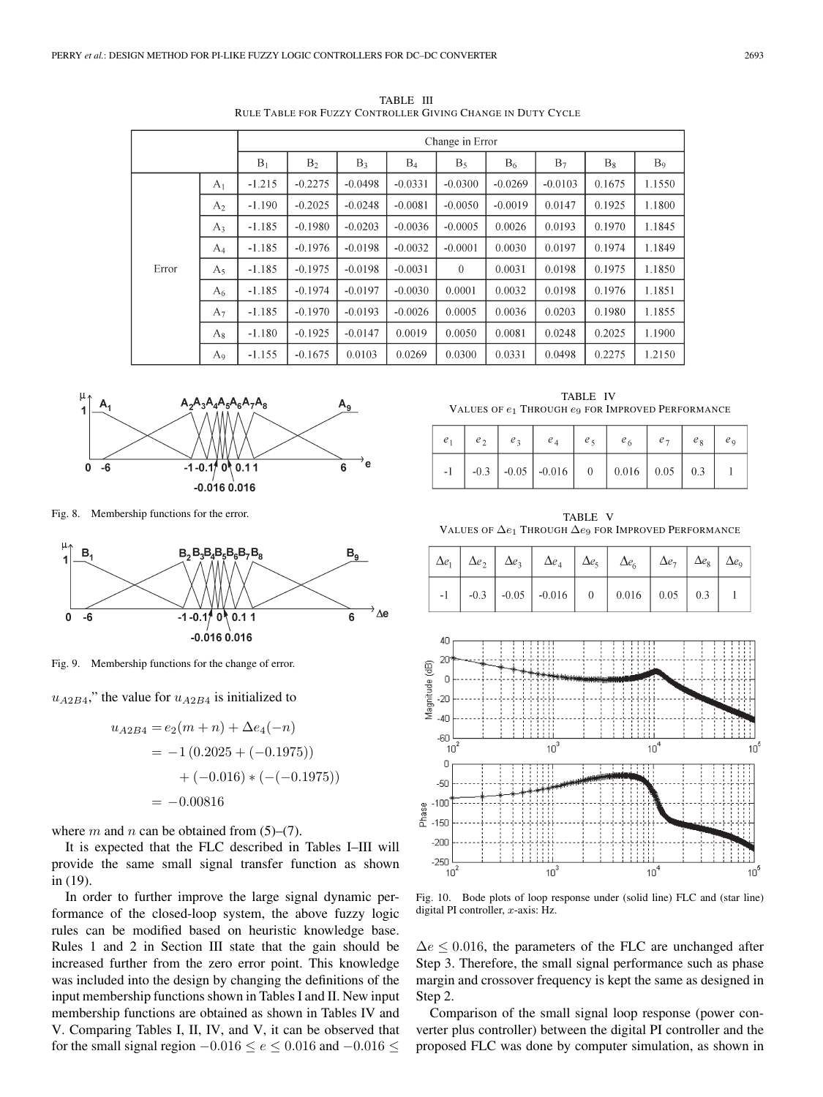|       |                | Change in Error |                |           |           |           |                |           |        |        |
|-------|----------------|-----------------|----------------|-----------|-----------|-----------|----------------|-----------|--------|--------|
|       |                | $B_1$           | B <sub>2</sub> | $B_3$     | $B_4$     | $B_5$     | B <sub>6</sub> | $B_7$     | $B_8$  | $B_9$  |
|       | A <sub>1</sub> | $-1.215$        | $-0.2275$      | $-0.0498$ | $-0.0331$ | $-0.0300$ | $-0.0269$      | $-0.0103$ | 0.1675 | 1.1550 |
|       | A <sub>2</sub> | $-1.190$        | $-0.2025$      | $-0.0248$ | $-0.0081$ | $-0.0050$ | $-0.0019$      | 0.0147    | 0.1925 | 1.1800 |
|       | $A_3$          | $-1.185$        | $-0.1980$      | $-0.0203$ | $-0.0036$ | $-0.0005$ | 0.0026         | 0.0193    | 0.1970 | 1.1845 |
|       | $A_4$          | $-1.185$        | $-0.1976$      | $-0.0198$ | $-0.0032$ | $-0.0001$ | 0.0030         | 0.0197    | 0.1974 | 1.1849 |
| Error | $A_5$          | $-1.185$        | $-0.1975$      | $-0.0198$ | $-0.0031$ | $\theta$  | 0.0031         | 0.0198    | 0.1975 | 1.1850 |
|       | A <sub>6</sub> | $-1.185$        | $-0.1974$      | $-0.0197$ | $-0.0030$ | 0.0001    | 0.0032         | 0.0198    | 0.1976 | 1.1851 |
|       | $A_7$          | $-1.185$        | $-0.1970$      | $-0.0193$ | $-0.0026$ | 0.0005    | 0.0036         | 0.0203    | 0.1980 | 1.1855 |
|       | $A_8$          | $-1.180$        | $-0.1925$      | $-0.0147$ | 0.0019    | 0.0050    | 0.0081         | 0.0248    | 0.2025 | 1.1900 |
|       | A <sub>9</sub> | $-1.155$        | $-0.1675$      | 0.0103    | 0.0269    | 0.0300    | 0.0331         | 0.0498    | 0.2275 | 1.2150 |

TABLE III RULE TABLE FOR FUZZY CONTROLLER GIVING CHANGE IN DUTY CYCLE



Fig. 8. Membership functions for the error.



Fig. 9. Membership functions for the change of error.

 $u_{A2B4}$ ," the value for  $u_{A2B4}$  is initialized to

$$
u_{A2B4} = e_2(m+n) + \Delta e_4(-n)
$$
  
= -1 (0.2025 + (-0.1975))  
+ (-0.016) \* (-(-0.1975))  
= -0.00816

where m and n can be obtained from  $(5)-(7)$ .

It is expected that the FLC described in Tables I–III will provide the same small signal transfer function as shown in (19).

In order to further improve the large signal dynamic performance of the closed-loop system, the above fuzzy logic rules can be modified based on heuristic knowledge base. Rules 1 and 2 in Section III state that the gain should be increased further from the zero error point. This knowledge was included into the design by changing the definitions of the input membership functions shown in Tables I and II. New input membership functions are obtained as shown in Tables IV and V. Comparing Tables I, II, IV, and V, it can be observed that for the small signal region  $-0.016 \le e \le 0.016$  and  $-0.016 \le$ 

TABLE IV VALUES OF  $e_1$  THROUGH  $e_9$  FOR IMPROVED PERFORMANCE

| e <sub>1</sub> | e <sub>3</sub><br>$e_{\gamma}$ |  | $e_4$                                     | e <sub>5</sub> | e <sub>6</sub> | e <sub>7</sub> | $e_{8}$ |  |
|----------------|--------------------------------|--|-------------------------------------------|----------------|----------------|----------------|---------|--|
| $-1$           |                                |  | $-0.3$ $-0.05$ $-0.016$ 0 0.016 0.05 0.03 |                |                |                |         |  |

TABLE V VALUES OF  $\Delta e_1$  THROUGH  $\Delta e_9$  for IMPROVED PERFORMANCE

|  | $\Delta e_1 \left[ \begin{array}{c c c c} \Delta e_2 & \Delta e_3 & \Delta e_4 \end{array} \right] \left[ \begin{array}{c c c} \Delta e_5 & \Delta e_6 & \Delta e_7 \end{array} \right] \left[ \begin{array}{c c c} \Delta e_7 & \Delta e_8 \end{array} \right] \left[ \begin{array}{c c c} \Delta e_9 & \Delta e_9 \end{array} \right]$ |  |  |  |
|--|------------------------------------------------------------------------------------------------------------------------------------------------------------------------------------------------------------------------------------------------------------------------------------------------------------------------------------------|--|--|--|
|  | $-1$ $-0.3$ $-0.05$ $-0.016$ 0 0.016 0.05 0.05 0.3 1                                                                                                                                                                                                                                                                                     |  |  |  |



Fig. 10. Bode plots of loop response under (solid line) FLC and (star line) digital PI controller, x-axis: Hz.

 $\Delta e \leq 0.016$ , the parameters of the FLC are unchanged after Step 3. Therefore, the small signal performance such as phase margin and crossover frequency is kept the same as designed in Step 2.

Comparison of the small signal loop response (power converter plus controller) between the digital PI controller and the proposed FLC was done by computer simulation, as shown in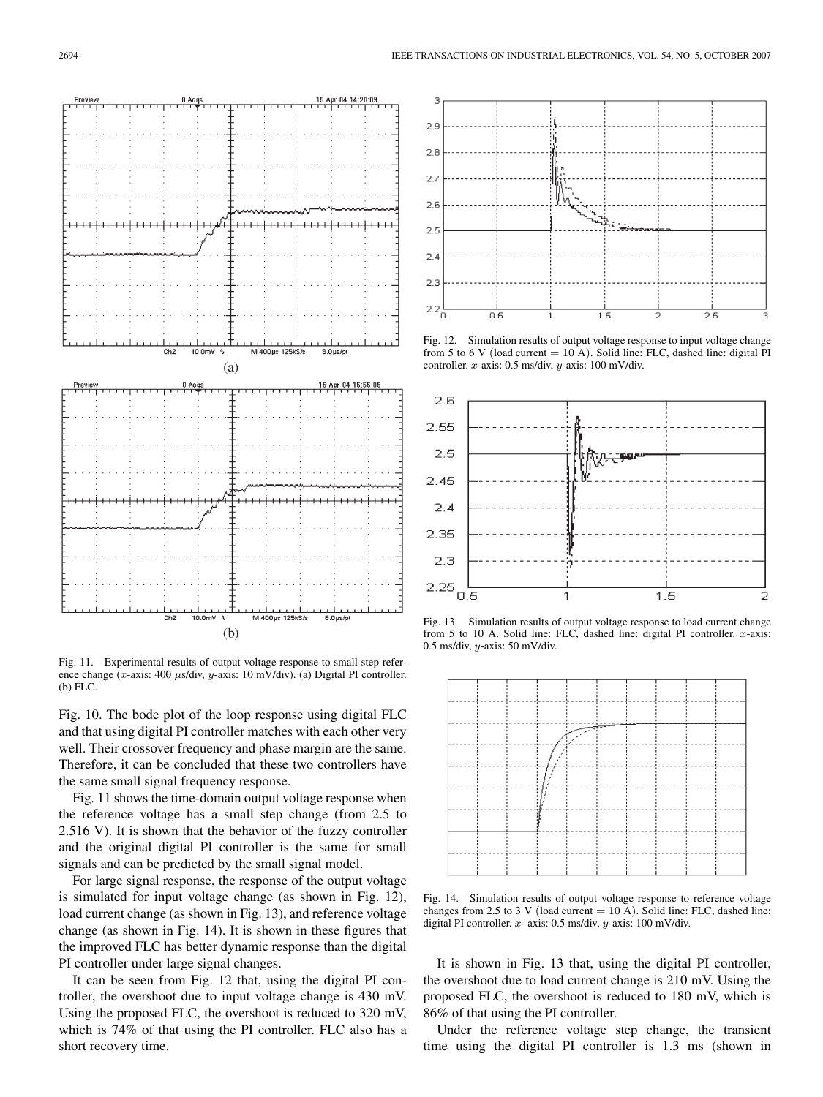

Fig. 11. Experimental results of output voltage response to small step reference change (x-axis: 400  $\mu$ s/div, y-axis: 10 mV/div). (a) Digital PI controller. (b) FLC.

Fig. 10. The bode plot of the loop response using digital FLC and that using digital PI controller matches with each other very well. Their crossover frequency and phase margin are the same. Therefore, it can be concluded that these two controllers have the same small signal frequency response.

Fig. 11 shows the time-domain output voltage response when the reference voltage has a small step change (from 2.5 to 2.516 V). It is shown that the behavior of the fuzzy controller and the original digital PI controller is the same for small signals and can be predicted by the small signal model.

For large signal response, the response of the output voltage is simulated for input voltage change (as shown in Fig. 12), load current change (as shown in Fig. 13), and reference voltage change (as shown in Fig. 14). It is shown in these figures that the improved FLC has better dynamic response than the digital PI controller under large signal changes.

It can be seen from Fig. 12 that, using the digital PI controller, the overshoot due to input voltage change is 430 mV. Using the proposed FLC, the overshoot is reduced to 320 mV, which is 74% of that using the PI controller. FLC also has a short recovery time.



Fig. 12. Simulation results of output voltage response to input voltage change from 5 to 6 V (load current  $= 10$  A). Solid line: FLC, dashed line: digital PI controller. x-axis: 0.5 ms/div, y-axis: 100 mV/div.



Fig. 13. Simulation results of output voltage response to load current change from 5 to 10 A. Solid line: FLC, dashed line: digital PI controller.  $x$ -axis: 0.5 ms/div, y-axis: 50 mV/div.



Fig. 14. Simulation results of output voltage response to reference voltage changes from 2.5 to 3 V (load current  $= 10$  A). Solid line: FLC, dashed line: digital PI controller.  $x$ - axis: 0.5 ms/div,  $y$ -axis: 100 mV/div.

It is shown in Fig. 13 that, using the digital PI controller, the overshoot due to load current change is 210 mV. Using the proposed FLC, the overshoot is reduced to 180 mV, which is 86% of that using the PI controller.

Under the reference voltage step change, the transient time using the digital PI controller is 1.3 ms (shown in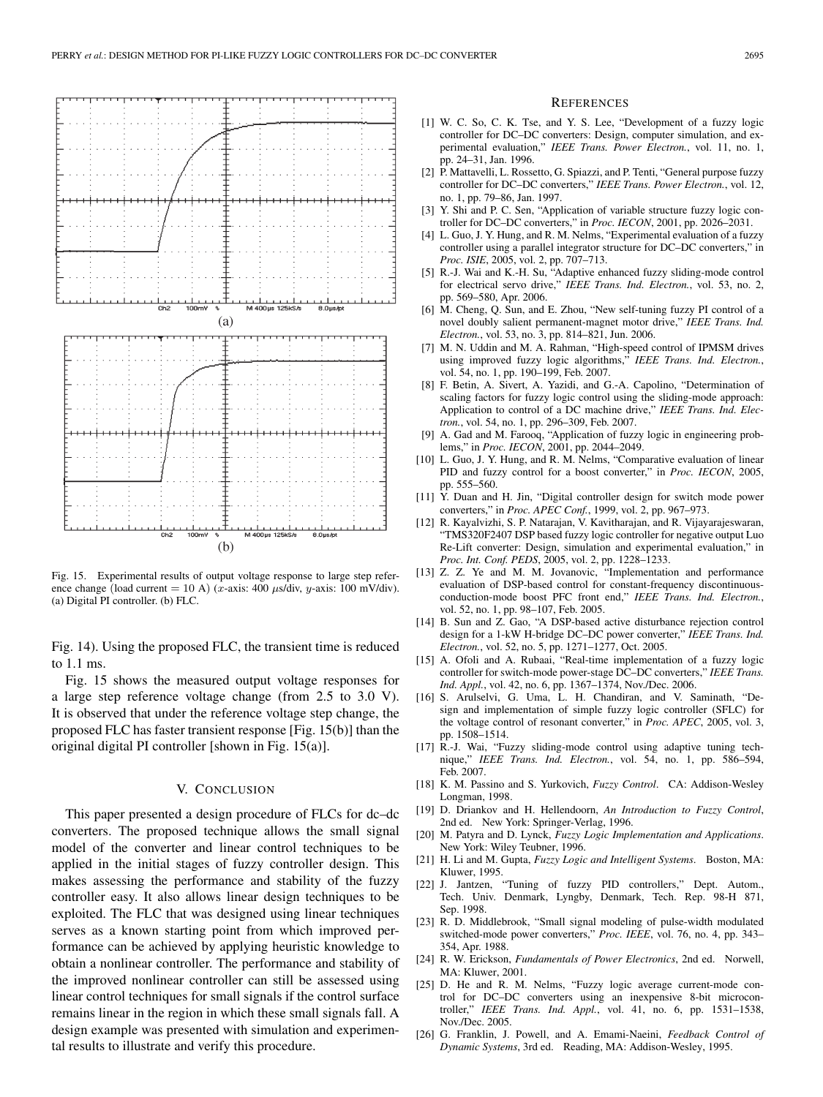

Fig. 15. Experimental results of output voltage response to large step reference change (load current = 10 A) (x-axis: 400  $\mu$ s/div, y-axis: 100 mV/div). (a) Digital PI controller. (b) FLC.

Fig. 14). Using the proposed FLC, the transient time is reduced to 1.1 ms.

Fig. 15 shows the measured output voltage responses for a large step reference voltage change (from 2.5 to 3.0 V). It is observed that under the reference voltage step change, the proposed FLC has faster transient response [Fig. 15(b)] than the original digital PI controller [shown in Fig. 15(a)].

#### V. CONCLUSION

This paper presented a design procedure of FLCs for dc–dc converters. The proposed technique allows the small signal model of the converter and linear control techniques to be applied in the initial stages of fuzzy controller design. This makes assessing the performance and stability of the fuzzy controller easy. It also allows linear design techniques to be exploited. The FLC that was designed using linear techniques serves as a known starting point from which improved performance can be achieved by applying heuristic knowledge to obtain a nonlinear controller. The performance and stability of the improved nonlinear controller can still be assessed using linear control techniques for small signals if the control surface remains linear in the region in which these small signals fall. A design example was presented with simulation and experimental results to illustrate and verify this procedure.

#### **REFERENCES**

- [1] W. C. So, C. K. Tse, and Y. S. Lee, "Development of a fuzzy logic controller for DC–DC converters: Design, computer simulation, and experimental evaluation," *IEEE Trans. Power Electron.*, vol. 11, no. 1, pp. 24–31, Jan. 1996.
- [2] P. Mattavelli, L. Rossetto, G. Spiazzi, and P. Tenti, "General purpose fuzzy controller for DC–DC converters," *IEEE Trans. Power Electron.*, vol. 12, no. 1, pp. 79–86, Jan. 1997.
- [3] Y. Shi and P. C. Sen, "Application of variable structure fuzzy logic controller for DC–DC converters," in *Proc. IECON*, 2001, pp. 2026–2031.
- [4] L. Guo, J. Y. Hung, and R. M. Nelms, "Experimental evaluation of a fuzzy controller using a parallel integrator structure for DC–DC converters," in *Proc. ISIE*, 2005, vol. 2, pp. 707–713.
- [5] R.-J. Wai and K.-H. Su, "Adaptive enhanced fuzzy sliding-mode control for electrical servo drive," *IEEE Trans. Ind. Electron.*, vol. 53, no. 2, pp. 569–580, Apr. 2006.
- [6] M. Cheng, Q. Sun, and E. Zhou, "New self-tuning fuzzy PI control of a novel doubly salient permanent-magnet motor drive," *IEEE Trans. Ind. Electron.*, vol. 53, no. 3, pp. 814–821, Jun. 2006.
- [7] M. N. Uddin and M. A. Rahman, "High-speed control of IPMSM drives using improved fuzzy logic algorithms," *IEEE Trans. Ind. Electron.*, vol. 54, no. 1, pp. 190–199, Feb. 2007.
- [8] F. Betin, A. Sivert, A. Yazidi, and G.-A. Capolino, "Determination of scaling factors for fuzzy logic control using the sliding-mode approach: Application to control of a DC machine drive," *IEEE Trans. Ind. Electron.*, vol. 54, no. 1, pp. 296–309, Feb. 2007.
- [9] A. Gad and M. Farooq, "Application of fuzzy logic in engineering problems," in *Proc. IECON*, 2001, pp. 2044–2049.
- [10] L. Guo, J. Y. Hung, and R. M. Nelms, "Comparative evaluation of linear PID and fuzzy control for a boost converter," in *Proc. IECON*, 2005, pp. 555–560.
- [11] Y. Duan and H. Jin, "Digital controller design for switch mode power converters," in *Proc. APEC Conf.*, 1999, vol. 2, pp. 967–973.
- [12] R. Kayalvizhi, S. P. Natarajan, V. Kavitharajan, and R. Vijayarajeswaran, "TMS320F2407 DSP based fuzzy logic controller for negative output Luo Re-Lift converter: Design, simulation and experimental evaluation," in *Proc. Int. Conf. PEDS*, 2005, vol. 2, pp. 1228–1233.
- [13] Z. Z. Ye and M. M. Jovanovic, "Implementation and performance evaluation of DSP-based control for constant-frequency discontinuousconduction-mode boost PFC front end," *IEEE Trans. Ind. Electron.*, vol. 52, no. 1, pp. 98–107, Feb. 2005.
- [14] B. Sun and Z. Gao, "A DSP-based active disturbance rejection control design for a 1-kW H-bridge DC–DC power converter," *IEEE Trans. Ind. Electron.*, vol. 52, no. 5, pp. 1271–1277, Oct. 2005.
- [15] A. Ofoli and A. Rubaai, "Real-time implementation of a fuzzy logic controller for switch-mode power-stage DC–DC converters," *IEEE Trans. Ind. Appl.*, vol. 42, no. 6, pp. 1367–1374, Nov./Dec. 2006.
- [16] S. Arulselvi, G. Uma, L. H. Chandiran, and V. Saminath, "Design and implementation of simple fuzzy logic controller (SFLC) for the voltage control of resonant converter," in *Proc. APEC*, 2005, vol. 3, pp. 1508–1514.
- [17] R.-J. Wai, "Fuzzy sliding-mode control using adaptive tuning technique," *IEEE Trans. Ind. Electron.*, vol. 54, no. 1, pp. 586–594, Feb. 2007.
- [18] K. M. Passino and S. Yurkovich, *Fuzzy Control*. CA: Addison-Wesley Longman, 1998.
- [19] D. Driankov and H. Hellendoorn, *An Introduction to Fuzzy Control*, 2nd ed. New York: Springer-Verlag, 1996.
- [20] M. Patyra and D. Lynck, *Fuzzy Logic Implementation and Applications*. New York: Wiley Teubner, 1996.
- [21] H. Li and M. Gupta, *Fuzzy Logic and Intelligent Systems*. Boston, MA: Kluwer, 1995.
- [22] J. Jantzen, "Tuning of fuzzy PID controllers," Dept. Autom., Tech. Univ. Denmark, Lyngby, Denmark, Tech. Rep. 98-H 871, Sep. 1998.
- [23] R. D. Middlebrook, "Small signal modeling of pulse-width modulated switched-mode power converters," *Proc. IEEE*, vol. 76, no. 4, pp. 343– 354, Apr. 1988.
- [24] R. W. Erickson, *Fundamentals of Power Electronics*, 2nd ed. Norwell, MA: Kluwer, 2001.
- [25] D. He and R. M. Nelms, "Fuzzy logic average current-mode control for DC–DC converters using an inexpensive 8-bit microcontroller," *IEEE Trans. Ind. Appl.*, vol. 41, no. 6, pp. 1531–1538, Nov./Dec. 2005.
- [26] G. Franklin, J. Powell, and A. Emami-Naeini, *Feedback Control of Dynamic Systems*, 3rd ed. Reading, MA: Addison-Wesley, 1995.